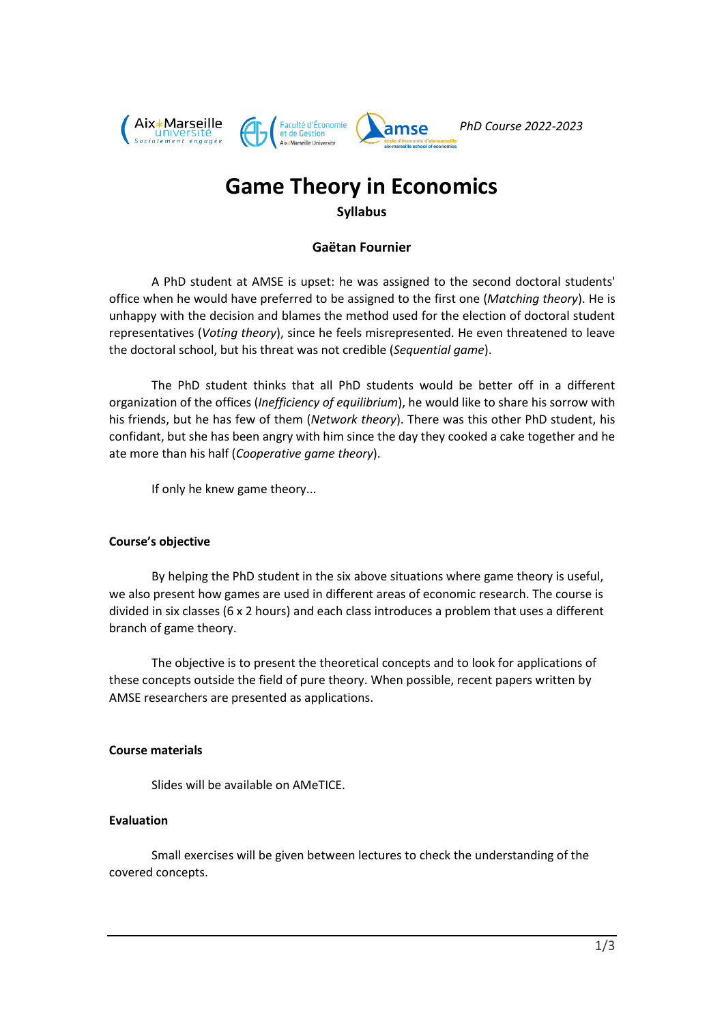

# **Game Theory in Economics**

#### **Syllabus**

### **Gaëtan Fournier**

A PhD student at AMSE is upset: he was assigned to the second doctoral students' office when he would have preferred to be assigned to the first one (*Matching theory*). He is unhappy with the decision and blames the method used for the election of doctoral student representatives (*Voting theory*), since he feels misrepresented. He even threatened to leave the doctoral school, but his threat was not credible (*Sequential game*).

The PhD student thinks that all PhD students would be better off in a different organization of the offices (*Inefficiency of equilibrium*), he would like to share his sorrow with his friends, but he has few of them (*Network theory*). There was this other PhD student, his confidant, but she has been angry with him since the day they cooked a cake together and he ate more than his half (*Cooperative game theory*).

If only he knew game theory...

#### **Course's objective**

By helping the PhD student in the six above situations where game theory is useful, we also present how games are used in different areas of economic research. The course is divided in six classes (6 x 2 hours) and each class introduces a problem that uses a different branch of game theory.

The objective is to present the theoretical concepts and to look for applications of these concepts outside the field of pure theory. When possible, recent papers written by AMSE researchers are presented as applications.

#### **Course materials**

Slides will be available on AMeTICE.

#### **Evaluation**

Small exercises will be given between lectures to check the understanding of the covered concepts.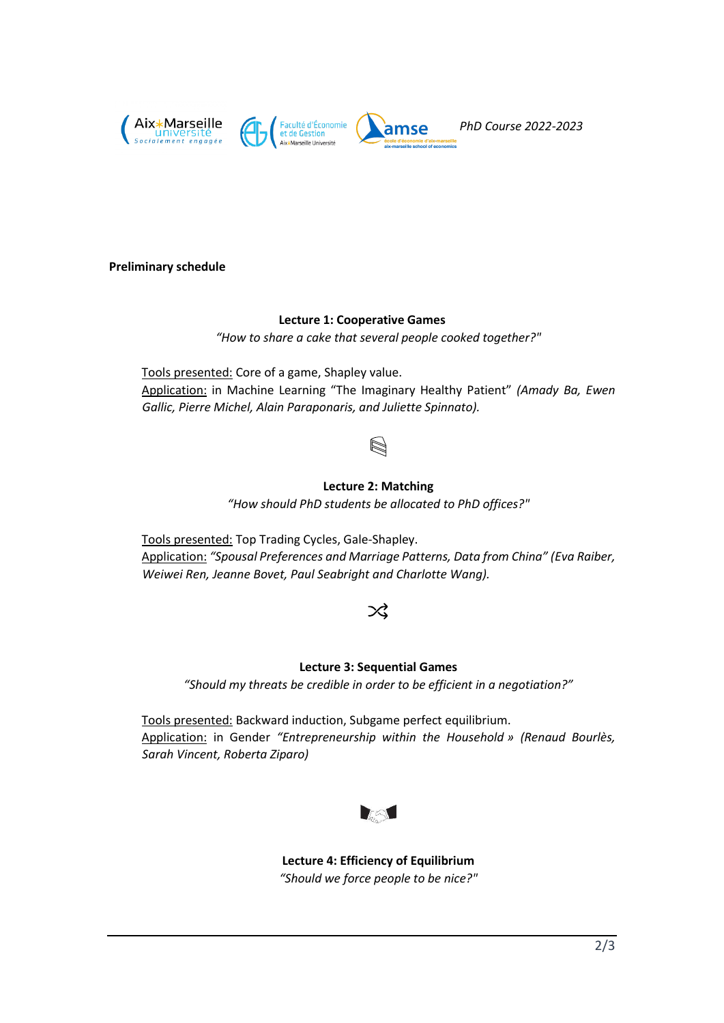

#### **Preliminary schedule**

#### **Lecture 1: Cooperative Games**

*"How to share a cake that several people cooked together?"*

Tools presented: Core of a game, Shapley value. Application: in Machine Learning "The Imaginary Healthy Patient" *(Amady Ba, Ewen Gallic, Pierre Michel, Alain Paraponaris, and Juliette Spinnato).*

### **Lecture 2: Matching**

*"How should PhD students be allocated to PhD offices?"*

Tools presented: Top Trading Cycles, Gale-Shapley. Application: *"Spousal Preferences and Marriage Patterns, Data from China" (Eva Raiber, Weiwei Ren, Jeanne Bovet, Paul Seabright and Charlotte Wang).*

# 父

#### **Lecture 3: Sequential Games**

*"Should my threats be credible in order to be efficient in a negotiation?"*

Tools presented: Backward induction, Subgame perfect equilibrium. Application: in Gender *"Entrepreneurship within the Household » (Renaud Bourlès, Sarah Vincent, Roberta Ziparo)*



**Lecture 4: Efficiency of Equilibrium** *"Should we force people to be nice?"*